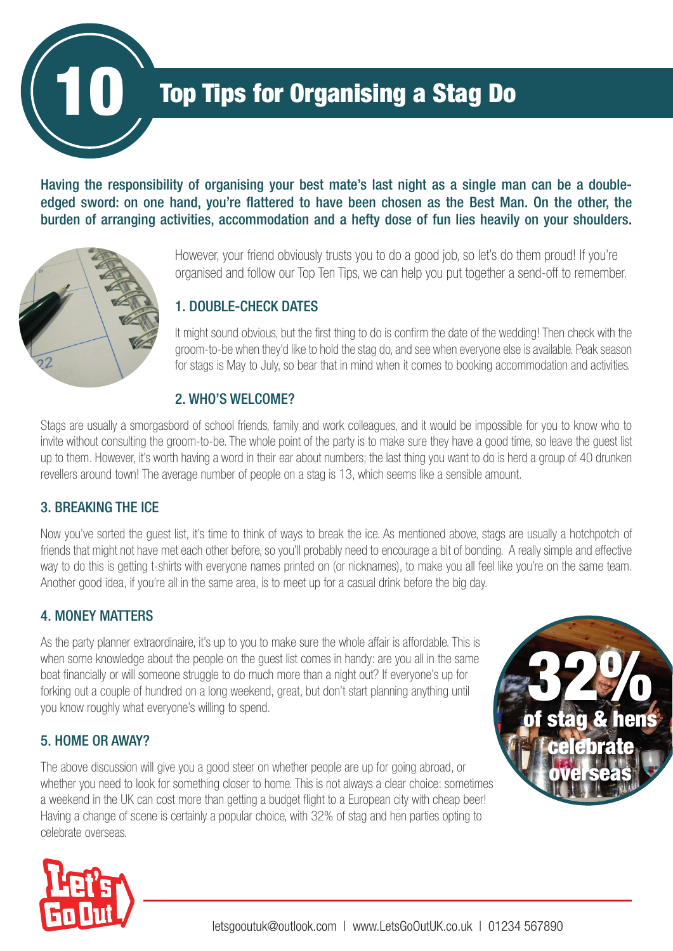

# **Top Tips for Organising a Stag Do**

Having the responsibility of organising your best mate's last night as a single man can be a doubleedged sword: on one hand, you're flattered to have been chosen as the Best Man. On the other, the burden of arranging activities, accommodation and a hefty dose of fun lies heavily on your shoulders.



However, your friend obviously trusts you to do a good job, so let's do them proud! If you're organised and follow our Top Ten Tips, we can help you put together a send-off to remember.

#### 1. DOUBLE-CHECK DATES

It might sound obvious, but the first thing to do is confirm the date of the wedding! Then check with the groom-to-be when they'd like to hold the stag do, and see when everyone else is available. Peak season for stags is May to July, so bear that in mind when it comes to booking accommodation and activities.

#### 2. WHO'S WELCOME?

Stags are usually a smorgasbord of school friends, family and work colleagues, and it would be impossible for you to know who to invite without consulting the groom-to-be. The whole point of the party is to make sure they have a good time, so leave the guest list up to them. However, it's worth having a word in their ear about numbers; the last thing you want to do is herd a group of 40 drunken revellers around town! The average number of people on a stag is 13, which seems like a sensible amount.

# 3. BREAKING THE ICE

Now you've sorted the guest list, it's time to think of ways to break the ice. As mentioned above, stags are usually a hotchpotch of friends that might not have met each other before, so you'll probably need to encourage a bit of bonding. A really simple and effective way to do this is getting t-shirts with everyone names printed on (or nicknames), to make you all feel like you're on the same team. Another good idea, if you're all in the same area, is to meet up for a casual drink before the big day.

# 4. MONEY MATTERS

As the party planner extraordinaire, it's up to you to make sure the whole affair is affordable. This is when some knowledge about the people on the guest list comes in handy: are you all in the same boat financially or will someone struggle to do much more than a night out? If everyone's up for forking out a couple of hundred on a long weekend, great, but don't start planning anything until you know roughly what everyone's willing to spend.

## 5. HOME OR AWAY?

The above discussion will give you a good steer on whether people are up for going abroad, or whether you need to look for something closer to home. This is not always a clear choice: sometimes a weekend in the UK can cost more than getting a budget flight to a European city with cheap beer! Having a change of scene is certainly a popular choice, with 32% of stag and hen parties opting to celebrate overseas.



 $\bf SFAG$ 

32%

**elebrate** 

overse